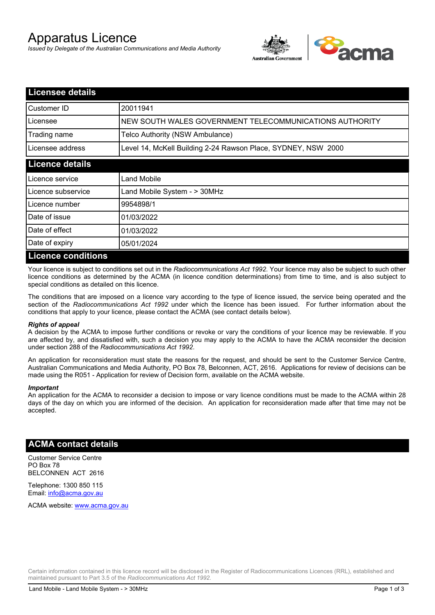# Apparatus Licence

*Issued by Delegate of the Australian Communications and Media Authority*



| <b>Licensee details</b>   |                                                               |  |  |
|---------------------------|---------------------------------------------------------------|--|--|
| Customer ID               | 20011941                                                      |  |  |
| Licensee                  | NEW SOUTH WALES GOVERNMENT TELECOMMUNICATIONS AUTHORITY       |  |  |
| Trading name              | Telco Authority (NSW Ambulance)                               |  |  |
| Licensee address          | Level 14, McKell Building 2-24 Rawson Place, SYDNEY, NSW 2000 |  |  |
| <b>Licence details</b>    |                                                               |  |  |
| Licence service           | Land Mobile                                                   |  |  |
| Licence subservice        | Land Mobile System - > 30MHz                                  |  |  |
| Licence number            | 9954898/1                                                     |  |  |
| Date of issue             | 01/03/2022                                                    |  |  |
| Date of effect            | 01/03/2022                                                    |  |  |
| Date of expiry            | 05/01/2024                                                    |  |  |
| <b>Licence conditions</b> |                                                               |  |  |

Your licence is subject to conditions set out in the *Radiocommunications Act 1992*. Your licence may also be subject to such other licence conditions as determined by the ACMA (in licence condition determinations) from time to time, and is also subject to special conditions as detailed on this licence.

The conditions that are imposed on a licence vary according to the type of licence issued, the service being operated and the section of the *Radiocommunications Act 1992* under which the licence has been issued. For further information about the conditions that apply to your licence, please contact the ACMA (see contact details below).

#### *Rights of appeal*

A decision by the ACMA to impose further conditions or revoke or vary the conditions of your licence may be reviewable. If you are affected by, and dissatisfied with, such a decision you may apply to the ACMA to have the ACMA reconsider the decision under section 288 of the *Radiocommunications Act 1992*.

An application for reconsideration must state the reasons for the request, and should be sent to the Customer Service Centre, Australian Communications and Media Authority, PO Box 78, Belconnen, ACT, 2616. Applications for review of decisions can be made using the R051 - Application for review of Decision form, available on the ACMA website.

#### *Important*

An application for the ACMA to reconsider a decision to impose or vary licence conditions must be made to the ACMA within 28 days of the day on which you are informed of the decision. An application for reconsideration made after that time may not be accepted.

### **ACMA contact details**

Customer Service Centre PO Box 78 BELCONNEN ACT 2616

Telephone: 1300 850 115 Email: info@acma.gov.au

ACMA website: www.acma.gov.au

Certain information contained in this licence record will be disclosed in the Register of Radiocommunications Licences (RRL), established and maintained pursuant to Part 3.5 of the *Radiocommunications Act 1992.*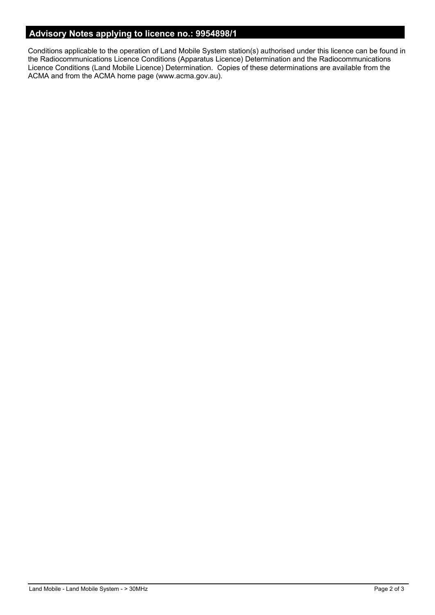# **Advisory Notes applying to licence no.: 9954898/1**

Conditions applicable to the operation of Land Mobile System station(s) authorised under this licence can be found in the Radiocommunications Licence Conditions (Apparatus Licence) Determination and the Radiocommunications Licence Conditions (Land Mobile Licence) Determination. Copies of these determinations are available from the ACMA and from the ACMA home page (www.acma.gov.au).